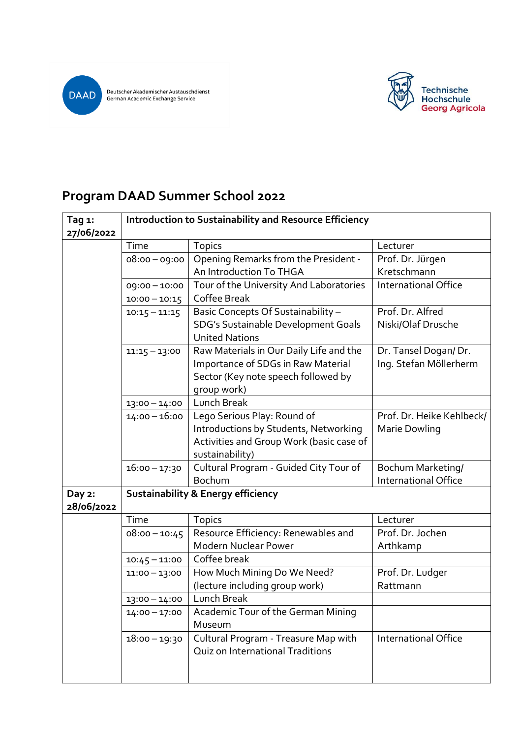

Deutscher Akademischer Austauschdienst<br>German Academic Exchange Service



## **Program DAAD Summer School 2022**

| Tag 1:<br>27/06/2022 | Introduction to Sustainability and Resource Efficiency |                                                                                                                                     |                                                |  |
|----------------------|--------------------------------------------------------|-------------------------------------------------------------------------------------------------------------------------------------|------------------------------------------------|--|
|                      | Time                                                   | <b>Topics</b>                                                                                                                       | Lecturer                                       |  |
|                      | $08:00 - 09:00$                                        | Opening Remarks from the President -                                                                                                | Prof. Dr. Jürgen                               |  |
|                      |                                                        | An Introduction To THGA                                                                                                             | Kretschmann                                    |  |
|                      | 09:00 - 10:00                                          | Tour of the University And Laboratories                                                                                             | <b>International Office</b>                    |  |
|                      | $10:00 - 10:15$                                        | Coffee Break                                                                                                                        |                                                |  |
|                      | $10:15 - 11:15$                                        | Basic Concepts Of Sustainability -                                                                                                  | Prof. Dr. Alfred                               |  |
|                      |                                                        | SDG's Sustainable Development Goals<br><b>United Nations</b>                                                                        | Niski/Olaf Drusche                             |  |
|                      | $11:15 - 13:00$                                        | Raw Materials in Our Daily Life and the<br>Importance of SDGs in Raw Material<br>Sector (Key note speech followed by<br>group work) | Dr. Tansel Dogan/Dr.<br>Ing. Stefan Möllerherm |  |
|                      | $13:00 - 14:00$                                        | Lunch Break                                                                                                                         |                                                |  |
|                      | $14:00 - 16:00$                                        | Lego Serious Play: Round of<br>Introductions by Students, Networking<br>Activities and Group Work (basic case of<br>sustainability) | Prof. Dr. Heike Kehlbeck/<br>Marie Dowling     |  |
|                      | $16:00 - 17:30$                                        | Cultural Program - Guided City Tour of<br>Bochum                                                                                    | Bochum Marketing/<br>International Office      |  |
| Day 2:<br>28/06/2022 |                                                        | <b>Sustainability &amp; Energy efficiency</b>                                                                                       |                                                |  |
|                      | Time                                                   | <b>Topics</b>                                                                                                                       | Lecturer                                       |  |
|                      | $08:00 - 10:45$                                        | Resource Efficiency: Renewables and                                                                                                 | Prof. Dr. Jochen                               |  |
|                      |                                                        | <b>Modern Nuclear Power</b>                                                                                                         | Arthkamp                                       |  |
|                      | $10:45 - 11:00$                                        | Coffee break                                                                                                                        |                                                |  |
|                      | $11:00 - 13:00$                                        | How Much Mining Do We Need?<br>(lecture including group work)                                                                       | Prof. Dr. Ludger<br>Rattmann                   |  |
|                      | $13:00 - 14:00$                                        | <b>Lunch Break</b>                                                                                                                  |                                                |  |
|                      | $14:00 - 17:00$                                        | Academic Tour of the German Mining<br>Museum                                                                                        |                                                |  |
|                      | $18:00 - 19:30$                                        | Cultural Program - Treasure Map with<br>Quiz on International Traditions                                                            | International Office                           |  |